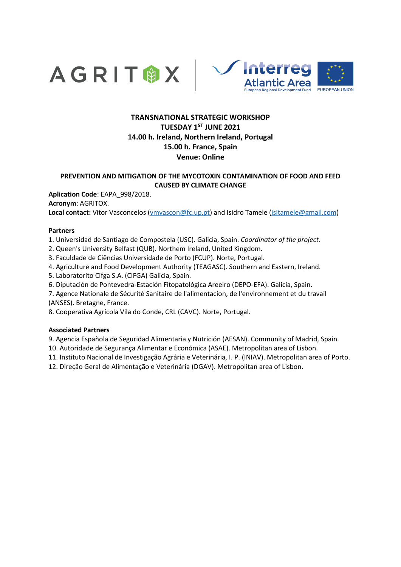



# **TRANSNATIONAL STRATEGIC WORKSHOP TUESDAY 1ST JUNE 2021 14.00 h. Ireland, Northern Ireland, Portugal 15.00 h. France, Spain Venue: Online**

## **PREVENTION AND MITIGATION OF THE MYCOTOXIN CONTAMINATION OF FOOD AND FEED CAUSED BY CLIMATE CHANGE**

**Aplication Code**: EAPA\_998/2018. **Acronym**: AGRITOX. **Local contact:** Vitor Vasconcelos [\(vmvascon@fc.up.pt\)](mailto:vmvascon@fc.up.pt) and Isidro Tamele [\(isitamele@gmail.com\)](mailto:isitamele@gmail.com)

### **Partners**

1. Universidad de Santiago de Compostela (USC). Galicia, Spain. *Coordinator of the project.* 

- 2. Queen's University Belfast (QUB). Northem Ireland, United Kingdom.
- 3. Faculdade de Ciências Universidade de Porto (FCUP). Norte, Portugal.
- 4. Agriculture and Food Development Authority (TEAGASC). Southern and Eastern, Ireland.
- 5. Laboratorito Cifga S.A. (CIFGA) Galicia, Spain.
- 6. Diputación de Pontevedra-Estación Fitopatológica Areeiro (DEPO-EFA). Galicia, Spain.
- 7. Agence Nationale de Sécurité Sanitaire de l'alimentacion, de l'environnement et du travail (ANSES). Bretagne, France.

8. Cooperativa Agrícola Vila do Conde, CRL (CAVC). Norte, Portugal.

#### **Associated Partners**

9. Agencia Española de Seguridad Alimentaria y Nutrición (AESAN). Community of Madrid, Spain.

10. Autoridade de Segurança Alimentar e Económica (ASAE). Metropolitan area of Lisbon.

11. Instituto Nacional de Investigação Agrária e Veterinária, I. P. (INIAV). Metropolitan area of Porto.

12. Direção Geral de Alimentação e Veterinária (DGAV). Metropolitan area of Lisbon.